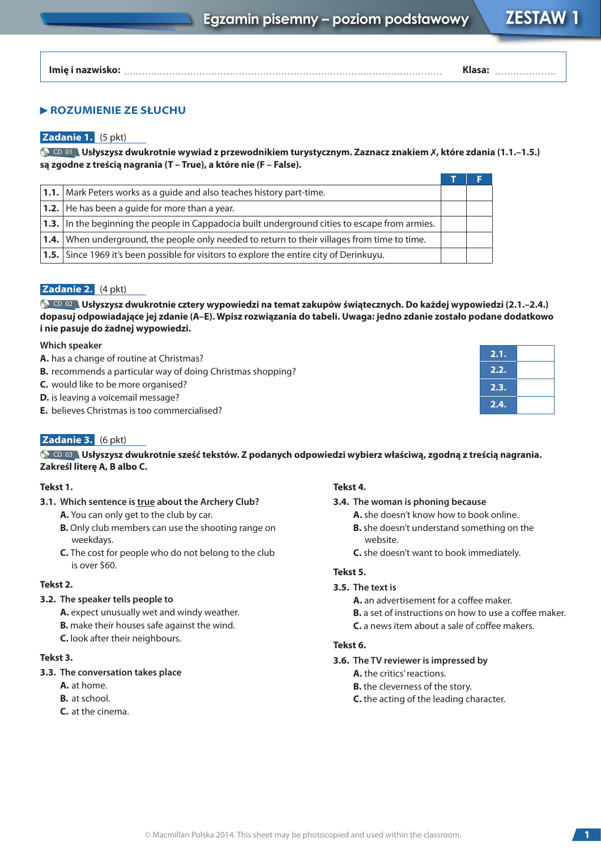**Imię i nazwisko: Klasa:**

# **ROZUMIENIE ZE SŁUCHU**

### **Zadanie 1.** (5 pkt)

CD <sup>01</sup> **Usłyszysz dwukrotnie wywiad z przewodnikiem turystycznym. Zaznacz znakiem** 7**, które zdania (1.1.–1.5.) są zgodne z treścią nagrania (T – True), a które nie (F – False).**

| <b>1.1.</b> Mark Peters works as a guide and also teaches history part-time.                          |  |
|-------------------------------------------------------------------------------------------------------|--|
| <b>1.2.</b> He has been a quide for more than a year.                                                 |  |
| <b>1.3.</b> In the beginning the people in Cappadocia built underground cities to escape from armies. |  |
| <b>1.4.</b> When underground, the people only needed to return to their villages from time to time.   |  |
| <b>1.5.</b> Since 1969 it's been possible for visitors to explore the entire city of Derinkuyu.       |  |

# **Zadanie 2.** (4 pkt)

CD 02 **Usłyszysz dwukrotnie cztery wypowiedzi na temat zakupów świątecznych. Do każdej wypowiedzi (2.1.–2.4.) dopasuj odpowiadające jej zdanie (A–E). Wpisz rozwiązania do tabeli. Uwaga: jedno zdanie zostało podane dodatkowo i nie pasuje do żadnej wypowiedzi.**

#### **Which speaker**

- **A.** has a change of routine at Christmas?
- **B.** recommends a particular way of doing Christmas shopping?
- **C.** would like to be more organised?
- **D.** is leaving a voicemail message?
- **E.** believes Christmas is too commercialised?

# **Zadanie 3.** (6 pkt)

CD 03 **Usłyszysz dwukrotnie sześć tekstów. Z podanych odpowiedzi wybierz właściwą, zgodną z treścią nagrania. Zakreśl literę A, B albo C.**

#### **Tekst 1.**

- **3.1. Which sentence is true about the Archery Club?**
	- **A.** You can only get to the club by car.
	- **B.** Only club members can use the shooting range on weekdays.
	- **C.** The cost for people who do not belong to the club is over \$60.

#### **Tekst 2.**

# **3.2. The speaker tells people to**

**A.** expect unusually wet and windy weather. **B.** make their houses safe against the wind. **C.** look after their neighbours.

### **Tekst 3.**

# **3.3. The conversation takes place**

- **A.** at home.
- **B.** at school.
- **C.** at the cinema.

#### **Tekst 4.**

#### **3.4. The woman is phoning because**

- **A.** she doesn't know how to book online.
- **B.** she doesn't understand something on the website.

**2.1. 2.2. 2.3. 2.4.**

**C.** she doesn't want to book immediately.

### **Tekst 5.**

#### **3.5. The text is**

**A.** an advertisement for a coffee maker.

- **B.** a set of instructions on how to use a coffee maker.
- **C.** a news item about a sale of coffee makers.

# **Tekst 6.**

- **3.6. The TV reviewer is impressed by**
	- **A.** the critics' reactions.
	- **B.** the cleverness of the story.
	- **C.** the acting of the leading character.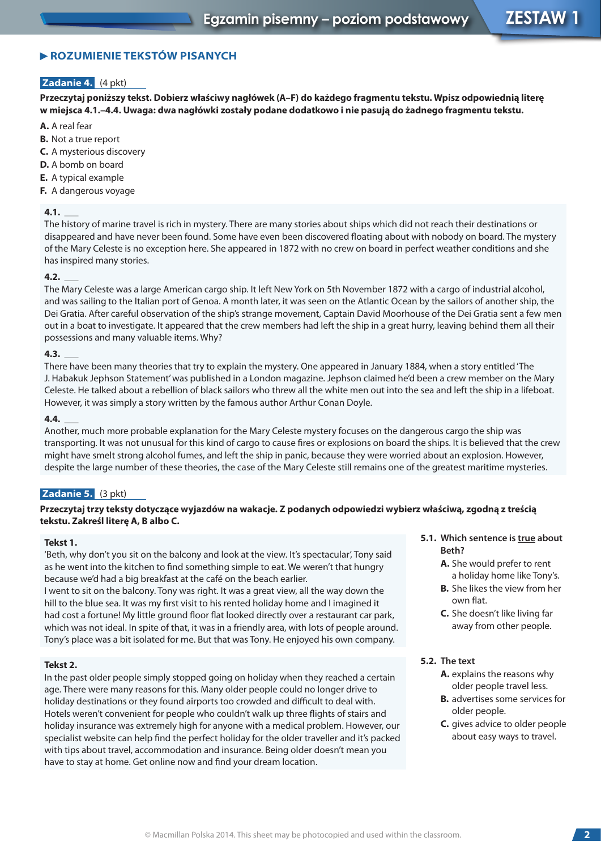# **ROZUMIENIE TEKSTÓW PISANYCH**

# **Zadanie 4.** (4 pkt)

**Przeczytaj poniższy tekst. Dobierz właściwy nagłówek (A–F) do każdego fragmentu tekstu. Wpisz odpowiednią literę w miejsca 4.1.–4.4. Uwaga: dwa nagłówki zostały podane dodatkowo i nie pasują do żadnego fragmentu tekstu.**

- **A.** A real fear
- **B.** Not a true report
- **C.** A mysterious discovery
- **D.** A bomb on board
- **E.** A typical example
- **F.** A dangerous voyage

# **4.1.** \_

The history of marine travel is rich in mystery. There are many stories about ships which did not reach their destinations or disappeared and have never been found. Some have even been discovered floating about with nobody on board. The mystery of the Mary Celeste is no exception here. She appeared in 1872 with no crew on board in perfect weather conditions and she has inspired many stories. **4.2.** \_

The Mary Celeste was a large American cargo ship. It left New York on 5th November 1872 with a cargo of industrial alcohol, and was sailing to the Italian port of Genoa. A month later, it was seen on the Atlantic Ocean by the sailors of another ship, the Dei Gratia. After careful observation of the ship's strange movement, Captain David Moorhouse of the Dei Gratia sent a few men out in a boat to investigate. It appeared that the crew members had left the ship in a great hurry, leaving behind them all their possessions and many valuable items. Why? **4.3.** \_

There have been many theories that try to explain the mystery. One appeared in January 1884, when a story entitled 'The J. Habakuk Jephson Statement' was published in a London magazine. Jephson claimed he'd been a crew member on the Mary Celeste. He talked about a rebellion of black sailors who threw all the white men out into the sea and left the ship in a lifeboat. However, it was simply a story written by the famous author Arthur Conan Doyle. **4.4.** \_

Another, much more probable explanation for the Mary Celeste mystery focuses on the dangerous cargo the ship was transporting. It was not unusual for this kind of cargo to cause fires or explosions on board the ships. It is believed that the crew might have smelt strong alcohol fumes, and left the ship in panic, because they were worried about an explosion. However, despite the large number of these theories, the case of the Mary Celeste still remains one of the greatest maritime mysteries.

# **Zadanie 5.** (3 pkt)

### **Przeczytaj trzy teksty dotyczące wyjazdów na wakacje. Z podanych odpowiedzi wybierz właściwą, zgodną z treścią tekstu. Zakreśl literę A, B albo C.**

#### **Tekst 1.**

'Beth, why don't you sit on the balcony and look at the view. It's spectacular', Tony said as he went into the kitchen to find something simple to eat. We weren't that hungry because we'd had a big breakfast at the café on the beach earlier.

I went to sit on the balcony. Tony was right. It was a great view, all the way down the hill to the blue sea. It was my first visit to his rented holiday home and I imagined it had cost a fortune! My little ground floor flat looked directly over a restaurant car park, which was not ideal. In spite of that, it was in a friendly area, with lots of people around. Tony's place was a bit isolated for me. But that was Tony. He enjoyed his own company.

#### **Tekst 2.**

In the past older people simply stopped going on holiday when they reached a certain age. There were many reasons for this. Many older people could no longer drive to holiday destinations or they found airports too crowded and difficult to deal with. Hotels weren't convenient for people who couldn't walk up three flights of stairs and holiday insurance was extremely high for anyone with a medical problem. However, our specialist website can help find the perfect holiday for the older traveller and it's packed with tips about travel, accommodation and insurance. Being older doesn't mean you have to stay at home. Get online now and find your dream location.

- **5.1. Which sentence is true about Beth?** 
	- **A.** She would prefer to rent a holiday home like Tony's.
	- **B.** She likes the view from her own flat.
	- **C.** She doesn't like living far away from other people.
- **5.2. The text**
	- **A.** explains the reasons why older people travel less.
	- **B.** advertises some services for older people.
	- **C.** gives advice to older people about easy ways to travel.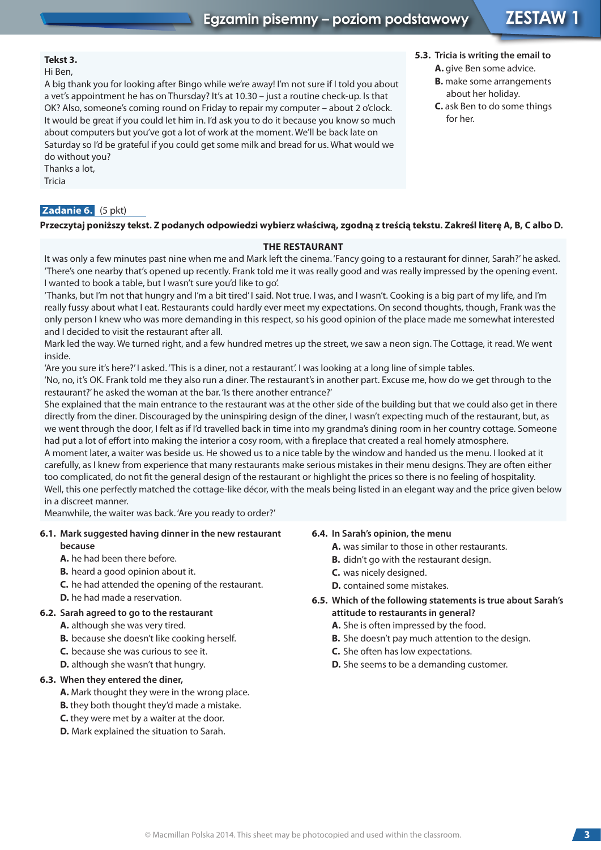**5.3. Tricia is writing the email to A.** give Ben some advice. **B.** make some arrangements about her holiday. **C.** ask Ben to do some things

for her.

# **Tekst 3.**

Hi Ben,

A big thank you for looking after Bingo while we're away! I'm not sure if I told you about a vet's appointment he has on Thursday? It's at 10.30 – just a routine check-up. Is that OK? Also, someone's coming round on Friday to repair my computer – about 2 o'clock. It would be great if you could let him in. I'd ask you to do it because you know so much about computers but you've got a lot of work at the moment. We'll be back late on Saturday so I'd be grateful if you could get some milk and bread for us. What would we do without you?

Thanks a lot,

Tricia

# **Zadanie 6.** (5 pkt)

**Przeczytaj poniższy tekst. Z podanych odpowiedzi wybierz właściwą, zgodną z treścią tekstu. Zakreśl literę A, B, C albo D.**

# **THE RESTAURANT**

It was only a few minutes past nine when me and Mark left the cinema. 'Fancy going to a restaurant for dinner, Sarah?' he asked. 'There's one nearby that's opened up recently. Frank told me it was really good and was really impressed by the opening event. I wanted to book a table, but I wasn't sure you'd like to go'.

'Thanks, but I'm not that hungry and I'm a bit tired' I said. Not true. I was, and I wasn't. Cooking is a big part of my life, and I'm really fussy about what I eat. Restaurants could hardly ever meet my expectations. On second thoughts, though, Frank was the only person I knew who was more demanding in this respect, so his good opinion of the place made me somewhat interested and I decided to visit the restaurant after all.

Mark led the way. We turned right, and a few hundred metres up the street, we saw a neon sign. The Cottage, it read. We went inside.

'Are you sure it's here?' I asked. 'This is a diner, not a restaurant'. I was looking at a long line of simple tables.

'No, no, it's OK. Frank told me they also run a diner. The restaurant's in another part. Excuse me, how do we get through to the restaurant?' he asked the woman at the bar. 'Is there another entrance?'

She explained that the main entrance to the restaurant was at the other side of the building but that we could also get in there directly from the diner. Discouraged by the uninspiring design of the diner, I wasn't expecting much of the restaurant, but, as we went through the door, I felt as if I'd travelled back in time into my grandma's dining room in her country cottage. Someone had put a lot of effort into making the interior a cosy room, with a fireplace that created a real homely atmosphere. A moment later, a waiter was beside us. He showed us to a nice table by the window and handed us the menu. I looked at it carefully, as I knew from experience that many restaurants make serious mistakes in their menu designs. They are often either

too complicated, do not fit the general design of the restaurant or highlight the prices so there is no feeling of hospitality. Well, this one perfectly matched the cottage-like décor, with the meals being listed in an elegant way and the price given below in a discreet manner.

Meanwhile, the waiter was back. 'Are you ready to order?'

#### **6.1. Mark suggested having dinner in the new restaurant because**

- **A.** he had been there before.
- **B.** heard a good opinion about it.
- **C.** he had attended the opening of the restaurant.
- **D.** he had made a reservation.

# **6.2. Sarah agreed to go to the restaurant**

- **A.** although she was very tired.
- **B.** because she doesn't like cooking herself.
- **C.** because she was curious to see it.
- **D.** although she wasn't that hungry.

# **6.3. When they entered the diner,**

- **A.** Mark thought they were in the wrong place.
- **B.** they both thought they'd made a mistake.
- **C.** they were met by a waiter at the door.
- **D.** Mark explained the situation to Sarah.

# **6.4. In Sarah's opinion, the menu**

- **A.** was similar to those in other restaurants.
- **B.** didn't go with the restaurant design.
- **C.** was nicely designed.
- **D.** contained some mistakes.
- **6.5. Which of the following statements is true about Sarah's attitude to restaurants in general?**
	- **A.** She is often impressed by the food.
	- **B.** She doesn't pay much attention to the design.
	- **C.** She often has low expectations.
	- **D.** She seems to be a demanding customer.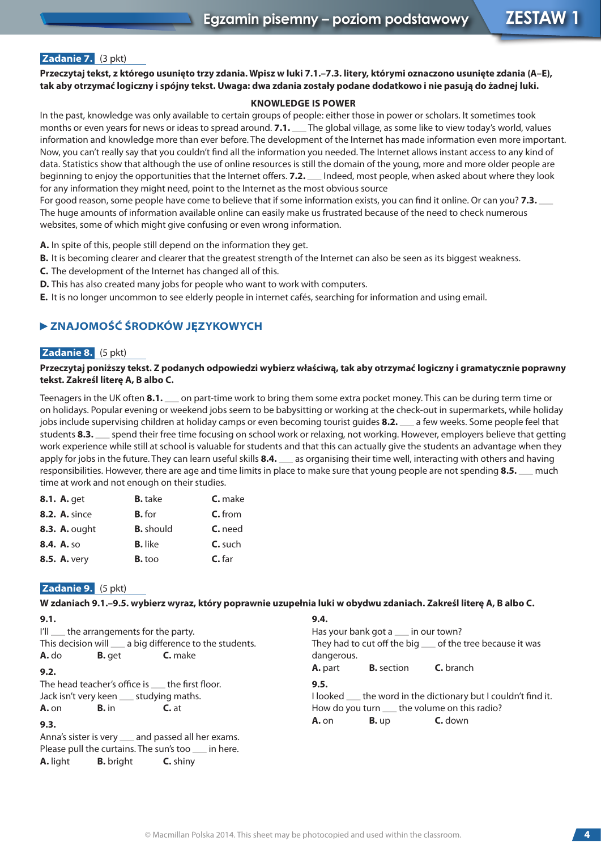# **Zadanie 7.** (3 pkt)

**Przeczytaj tekst, z którego usunięto trzy zdania. Wpisz w luki 7.1.–7.3. litery, którymi oznaczono usunięte zdania (A–E), tak aby otrzymać logiczny i spójny tekst. Uwaga: dwa zdania zostały podane dodatkowo i nie pasują do żadnej luki.**

#### **KNOWLEDGE IS POWER**

In the past, knowledge was only available to certain groups of people: either those in power or scholars. It sometimes took months or even years for news or ideas to spread around. **7.1.** \_ The global village, as some like to view today's world, values information and knowledge more than ever before. The development of the Internet has made information even more important. Now, you can't really say that you couldn't find all the information you needed. The Internet allows instant access to any kind of data. Statistics show that although the use of online resources is still the domain of the young, more and more older people are beginning to enjoy the opportunities that the Internet offers. **7.2.** \_ Indeed, most people, when asked about where they look for any information they might need, point to the Internet as the most obvious source

For good reason, some people have come to believe that if some information exists, you can find it online. Or can you? **7.3.** \_ The huge amounts of information available online can easily make us frustrated because of the need to check numerous websites, some of which might give confusing or even wrong information.

**A.** In spite of this, people still depend on the information they get.

- **B.** It is becoming clearer and clearer that the greatest strength of the Internet can also be seen as its biggest weakness.
- **C.** The development of the Internet has changed all of this.
- **D.** This has also created many jobs for people who want to work with computers.
- **E.** It is no longer uncommon to see elderly people in internet cafés, searching for information and using email.

# **ZNAJOMOŚĆ ŚRODKÓW JĘZYKOWYCH**

#### **Zadanie 8.** (5 pkt)

#### **Przeczytaj poniższy tekst. Z podanych odpowiedzi wybierz właściwą, tak aby otrzymać logiczny i gramatycznie poprawny tekst. Zakreśl literę A, B albo C.**

Teenagers in the UK often 8.1. <sub>10</sub> on part-time work to bring them some extra pocket money. This can be during term time or on holidays. Popular evening or weekend jobs seem to be babysitting or working at the check-out in supermarkets, while holiday<br>jobs include supervising children at holiday camps or even becoming tourist guides **8.2.** The a jobs include supervising children at holiday camps or even becoming tourist guides **8.2.** \_\_ a few weeks. Some people feel that setting<br>students **8.3.** \_\_ spend their free time focusing on school work or relaxing, not work work experience while still at school is valuable for students and that this can actually give the students an advantage when they work experience while still at school is valuable for students and that this can actually give the students an advantage when the apply for jobs in the future. They can learn useful skills **8.4.** \_\_\_ as organising their ti apply for jobs in the future. They can learn useful skills **8.4.** \_\_ as organising their time well, interacting with others and having responsibilities. However, there are age and time limits in place to make sure that you time at work and not enough on their studies.

| <b>8.1. A.</b> get   | <b>B.</b> take   | <b>C.</b> make |
|----------------------|------------------|----------------|
| <b>8.2. A. since</b> | <b>B.</b> for    | $C.$ from      |
| <b>8.3. A. ought</b> | <b>B.</b> should | <b>C.</b> need |
| 8.4. A. so           | <b>B.</b> like   | C. such        |
| <b>8.5. A. very</b>  | <b>B.</b> too    | $C.$ far       |

# **Zadanie 9.** (5 pkt)

**W zdaniach 9.1.–9.5. wybierz wyraz, który poprawnie uzupełnia luki w obydwu zdaniach. Zakreśl literę A, B albo C.**

| 9.1.                                                      | 9.4.                                                           |
|-----------------------------------------------------------|----------------------------------------------------------------|
| I'll __ the arrangements for the party.                   | Has your bank got a ___ in our town?                           |
| This decision will ____ a big difference to the students. | They had to cut off the big __ of the tree because it was      |
| <b>C.</b> make<br><b>A.</b> do<br><b>B.</b> get           | dangerous.                                                     |
| 9.2.                                                      | <b>C.</b> branch<br><b>A.</b> part<br><b>B.</b> section        |
| The head teacher's office is the first floor.             | 9.5.                                                           |
| Jack isn't very keen __ studying maths.                   | I looked __ the word in the dictionary but I couldn't find it. |
| <b>A.</b> on <b>B.</b> in<br>$C$ . at                     | How do you turn ____ the volume on this radio?                 |
| 9.3.                                                      | <b>C.</b> down<br><b>A.</b> on<br>B. up                        |
| Anna's sister is very __ and passed all her exams.        |                                                                |
| Please pull the curtains. The sun's too __ in here.       |                                                                |
| <b>A.</b> light <b>B.</b> bright<br><b>C.</b> shiny       |                                                                |